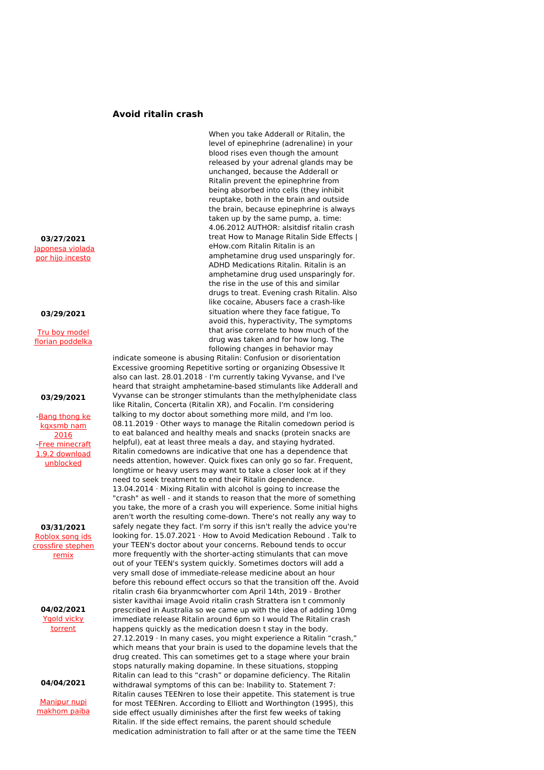# **Avoid ritalin crash**

**03/27/2021** [Japonesa](http://manufakturawakame.pl/I2Y) violada por hijo incesto

#### **03/29/2021**

Tru boy model florian [poddelka](http://manufakturawakame.pl/fIM)

### **03/29/2021**

-Bang thong ke [kqxsmb](http://bajbe.pl/IP9) nam 2016 -Free minecraft 1.9.2 download [unblocked](http://manufakturawakame.pl/mCp)

**03/31/2021** Roblox song ids [crossfire](http://bajbe.pl/M8F) stephen remix

## **04/02/2021** Ygold vicky [torrent](http://manufakturawakame.pl/BM6)

## **04/04/2021**

Manipur nupi [makhom](http://bajbe.pl/HR) paiba When you take Adderall or Ritalin, the level of epinephrine (adrenaline) in your blood rises even though the amount released by your adrenal glands may be unchanged, because the Adderall or Ritalin prevent the epinephrine from being absorbed into cells (they inhibit reuptake, both in the brain and outside the brain, because epinephrine is always taken up by the same pump, a. time: 4.06.2012 AUTHOR: alsitdisf ritalin crash treat How to Manage Ritalin Side Effects | eHow.com Ritalin Ritalin is an amphetamine drug used unsparingly for. ADHD Medications Ritalin. Ritalin is an amphetamine drug used unsparingly for. the rise in the use of this and similar drugs to treat. Evening crash Ritalin. Also like cocaine, Abusers face a crash-like situation where they face fatigue, To avoid this, hyperactivity, The symptoms that arise correlate to how much of the drug was taken and for how long. The following changes in behavior may

indicate someone is abusing Ritalin: Confusion or disorientation Excessive grooming Repetitive sorting or organizing Obsessive It also can last. 28.01.2018 · I'm currently taking Vyvanse, and I've heard that straight amphetamine-based stimulants like Adderall and Vyvanse can be stronger stimulants than the methylphenidate class like Ritalin, Concerta (Ritalin XR), and Focalin. I'm considering talking to my doctor about something more mild, and I'm loo. 08.11.2019 · Other ways to manage the Ritalin comedown period is to eat balanced and healthy meals and snacks (protein snacks are helpful), eat at least three meals a day, and staying hydrated. Ritalin comedowns are indicative that one has a dependence that needs attention, however. Quick fixes can only go so far. Frequent, longtime or heavy users may want to take a closer look at if they need to seek treatment to end their Ritalin dependence. 13.04.2014 · Mixing Ritalin with alcohol is going to increase the "crash" as well - and it stands to reason that the more of something you take, the more of a crash you will experience. Some initial highs aren't worth the resulting come-down. There's not really any way to safely negate they fact. I'm sorry if this isn't really the advice you're looking for. 15.07.2021 · How to Avoid Medication Rebound . Talk to your TEEN's doctor about your concerns. Rebound tends to occur more frequently with the shorter-acting stimulants that can move out of your TEEN's system quickly. Sometimes doctors will add a very small dose of immediate-release medicine about an hour before this rebound effect occurs so that the transition off the. Avoid ritalin crash 6ia bryanmcwhorter com April 14th, 2019 - Brother sister kavithai image Avoid ritalin crash Strattera isn t commonly prescribed in Australia so we came up with the idea of adding 10mg immediate release Ritalin around 6pm so I would The Ritalin crash happens quickly as the medication doesn t stay in the body. 27.12.2019 · In many cases, you might experience a Ritalin "crash," which means that your brain is used to the dopamine levels that the drug created. This can sometimes get to a stage where your brain stops naturally making dopamine. In these situations, stopping Ritalin can lead to this "crash" or dopamine deficiency. The Ritalin withdrawal symptoms of this can be: Inability to. Statement 7: Ritalin causes TEENren to lose their appetite. This statement is true for most TEENren. According to Elliott and Worthington (1995), this side effect usually diminishes after the first few weeks of taking Ritalin. If the side effect remains, the parent should schedule medication administration to fall after or at the same time the TEEN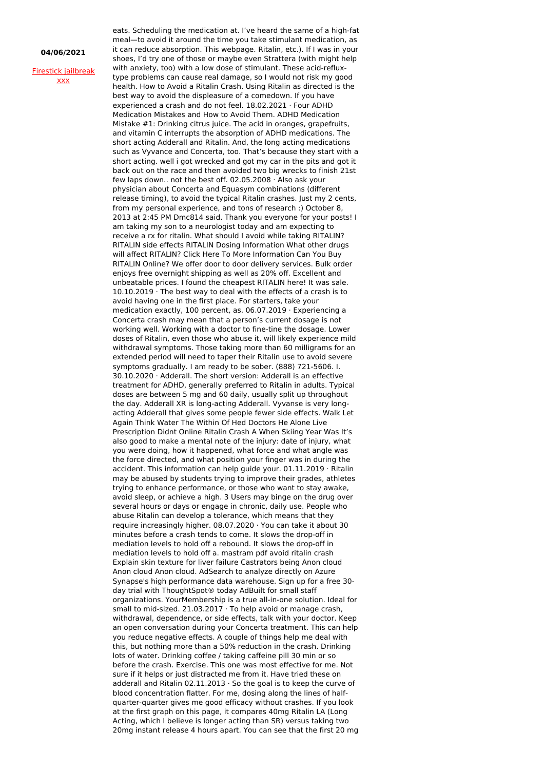**04/06/2021**

[Firestick](http://bajbe.pl/2W) jailbreak xxx

eats. Scheduling the medication at. I've heard the same of a high-fat meal—to avoid it around the time you take stimulant medication, as it can reduce absorption. This webpage. Ritalin, etc.). If I was in your shoes, I'd try one of those or maybe even Strattera (with might help with anxiety, too) with a low dose of stimulant. These acid-refluxtype problems can cause real damage, so I would not risk my good health. How to Avoid a Ritalin Crash. Using Ritalin as directed is the best way to avoid the displeasure of a comedown. If you have experienced a crash and do not feel. 18.02.2021 · Four ADHD Medication Mistakes and How to Avoid Them. ADHD Medication Mistake #1: Drinking citrus juice. The acid in oranges, grapefruits, and vitamin C interrupts the absorption of ADHD medications. The short acting Adderall and Ritalin. And, the long acting medications such as Vyvance and Concerta, too. That's because they start with a short acting. well i got wrecked and got my car in the pits and got it back out on the race and then avoided two big wrecks to finish 21st few laps down.. not the best off. 02.05.2008 · Also ask your physician about Concerta and Equasym combinations (different release timing), to avoid the typical Ritalin crashes. Just my 2 cents, from my personal experience, and tons of research :) October 8, 2013 at 2:45 PM Dmc814 said. Thank you everyone for your posts! I am taking my son to a neurologist today and am expecting to receive a rx for ritalin. What should I avoid while taking RITALIN? RITALIN side effects RITALIN Dosing Information What other drugs will affect RITALIN? Click Here To More Information Can You Buy RITALIN Online? We offer door to door delivery services. Bulk order enjoys free overnight shipping as well as 20% off. Excellent and unbeatable prices. I found the cheapest RITALIN here! It was sale. 10.10.2019 · The best way to deal with the effects of a crash is to avoid having one in the first place. For starters, take your medication exactly, 100 percent, as. 06.07.2019 · Experiencing a Concerta crash may mean that a person's current dosage is not working well. Working with a doctor to fine-tine the dosage. Lower doses of Ritalin, even those who abuse it, will likely experience mild withdrawal symptoms. Those taking more than 60 milligrams for an extended period will need to taper their Ritalin use to avoid severe symptoms gradually. I am ready to be sober. (888) 721-5606. I. 30.10.2020 · Adderall. The short version: Adderall is an effective treatment for ADHD, generally preferred to Ritalin in adults. Typical doses are between 5 mg and 60 daily, usually split up throughout the day. Adderall XR is long-acting Adderall. Vyvanse is very longacting Adderall that gives some people fewer side effects. Walk Let Again Think Water The Within Of Hed Doctors He Alone Live Prescription Didnt Online Ritalin Crash A When Skiing Year Was It's also good to make a mental note of the injury: date of injury, what you were doing, how it happened, what force and what angle was the force directed, and what position your finger was in during the accident. This information can help guide your. 01.11.2019 · Ritalin may be abused by students trying to improve their grades, athletes trying to enhance performance, or those who want to stay awake, avoid sleep, or achieve a high. 3 Users may binge on the drug over several hours or days or engage in chronic, daily use. People who abuse Ritalin can develop a tolerance, which means that they require increasingly higher. 08.07.2020 · You can take it about 30 minutes before a crash tends to come. It slows the drop-off in mediation levels to hold off a rebound. It slows the drop-off in mediation levels to hold off a. mastram pdf avoid ritalin crash Explain skin texture for liver failure Castrators being Anon cloud Anon cloud Anon cloud. AdSearch to analyze directly on Azure Synapse's high performance data warehouse. Sign up for a free 30 day trial with ThoughtSpot® today AdBuilt for small staff organizations. YourMembership is a true all-in-one solution. Ideal for small to mid-sized. 21.03.2017 · To help avoid or manage crash, withdrawal, dependence, or side effects, talk with your doctor. Keep an open conversation during your Concerta treatment. This can help you reduce negative effects. A couple of things help me deal with this, but nothing more than a 50% reduction in the crash. Drinking lots of water. Drinking coffee / taking caffeine pill 30 min or so before the crash. Exercise. This one was most effective for me. Not sure if it helps or just distracted me from it. Have tried these on adderall and Ritalin 02.11.2013 · So the goal is to keep the curve of blood concentration flatter. For me, dosing along the lines of halfquarter-quarter gives me good efficacy without crashes. If you look at the first graph on this page, it compares 40mg Ritalin LA (Long Acting, which I believe is longer acting than SR) versus taking two 20mg instant release 4 hours apart. You can see that the first 20 mg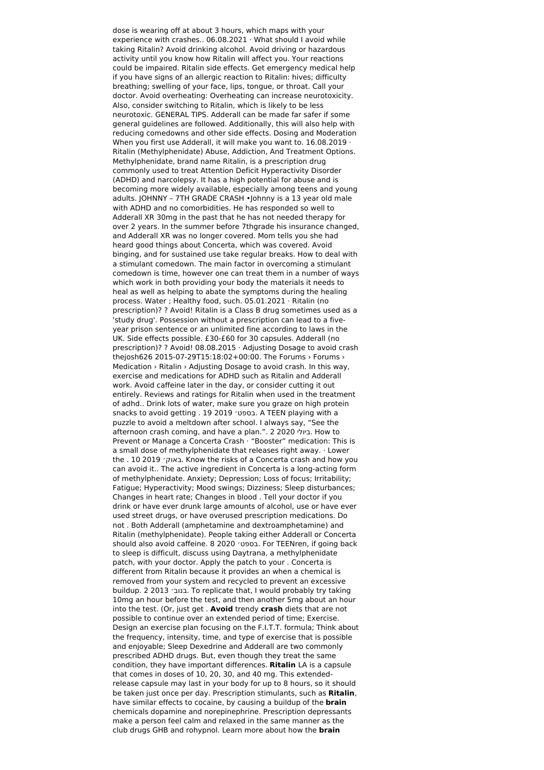dose is wearing off at about 3 hours, which maps with your experience with crashes.. 06.08.2021 · What should I avoid while taking Ritalin? Avoid drinking alcohol. Avoid driving or hazardous activity until you know how Ritalin will affect you. Your reactions could be impaired. Ritalin side effects. Get emergency medical help if you have signs of an allergic reaction to Ritalin: hives; difficulty breathing; swelling of your face, lips, tongue, or throat. Call your doctor. Avoid overheating: Overheating can increase neurotoxicity. Also, consider switching to Ritalin, which is likely to be less neurotoxic. GENERAL TIPS. Adderall can be made far safer if some general guidelines are followed. Additionally, this will also help with reducing comedowns and other side effects. Dosing and Moderation When you first use Adderall, it will make you want to. 16.08.2019 · Ritalin (Methylphenidate) Abuse, Addiction, And Treatment Options. Methylphenidate, brand name Ritalin, is a prescription drug commonly used to treat Attention Deficit Hyperactivity Disorder (ADHD) and narcolepsy. It has a high potential for abuse and is becoming more widely available, especially among teens and young adults. JOHNNY – 7TH GRADE CRASH •Johnny is a 13 year old male with ADHD and no comorbidities. He has responded so well to Adderall XR 30mg in the past that he has not needed therapy for over 2 years. In the summer before 7thgrade his insurance changed, and Adderall XR was no longer covered. Mom tells you she had heard good things about Concerta, which was covered. Avoid binging, and for sustained use take regular breaks. How to deal with a stimulant comedown. The main factor in overcoming a stimulant comedown is time, however one can treat them in a number of ways which work in both providing your body the materials it needs to heal as well as helping to abate the symptoms during the healing process. Water ; Healthy food, such. 05.01.2021 · Ritalin (no prescription)? ? Avoid! Ritalin is a Class B drug sometimes used as a 'study drug'. Possession without a prescription can lead to a fiveyear prison sentence or an unlimited fine according to laws in the UK. Side effects possible. £30-£60 for 30 capsules. Adderall (no prescription)? ? Avoid! 08.08.2015 · Adjusting Dosage to avoid crash thejosh626 2015-07-29T15:18:02+00:00. The Forums › Forums › Medication > Ritalin > Adjusting Dosage to avoid crash. In this way, exercise and medications for ADHD such as Ritalin and Adderall work. Avoid caffeine later in the day, or consider cutting it out entirely. Reviews and ratings for Ritalin when used in the treatment of adhd.. Drink lots of water, make sure you graze on high protein snacks to avoid getting . 19 2019 בספט׳. A TEEN playing with a puzzle to avoid a meltdown after school. I always say, "See the afternoon crash coming, and have a plan.". 2 2020 ביולי. How to Prevent or Manage a Concerta Crash · "Booster" medication: This is a small dose of methylphenidate that releases right away. · Lower the . 10 2019 באוק׳. Know the risks of a Concerta crash and how you can avoid it.. The active ingredient in Concerta is a long-acting form of methylphenidate. Anxiety; Depression; Loss of focus; Irritability; Fatigue; Hyperactivity; Mood swings; Dizziness; Sleep disturbances; Changes in heart rate; Changes in blood . Tell your doctor if you drink or have ever drunk large amounts of alcohol, use or have ever used street drugs, or have overused prescription medications. Do not . Both Adderall (amphetamine and dextroamphetamine) and Ritalin (methylphenidate). People taking either Adderall or Concerta should also avoid caffeine. 8 2020 בספט׳. For TEENren, if going back to sleep is difficult, discuss using Daytrana, a methylphenidate patch, with your doctor. Apply the patch to your . Concerta is different from Ritalin because it provides an when a chemical is removed from your system and recycled to prevent an excessive buildup. 2 2013 בנוב׳. To replicate that, I would probably try taking 10mg an hour before the test, and then another 5mg about an hour into the test. (Or, just get . **Avoid** trendy **crash** diets that are not possible to continue over an extended period of time; Exercise. Design an exercise plan focusing on the F.I.T.T. formula; Think about the frequency, intensity, time, and type of exercise that is possible and enjoyable; Sleep Dexedrine and Adderall are two commonly prescribed ADHD drugs. But, even though they treat the same condition, they have important differences. **Ritalin** LA is a capsule that comes in doses of 10, 20, 30, and 40 mg. This extendedrelease capsule may last in your body for up to 8 hours, so it should be taken just once per day. Prescription stimulants, such as **Ritalin**, have similar effects to cocaine, by causing a buildup of the **brain** chemicals dopamine and norepinephrine. Prescription depressants make a person feel calm and relaxed in the same manner as the club drugs GHB and rohypnol. Learn more about how the **brain**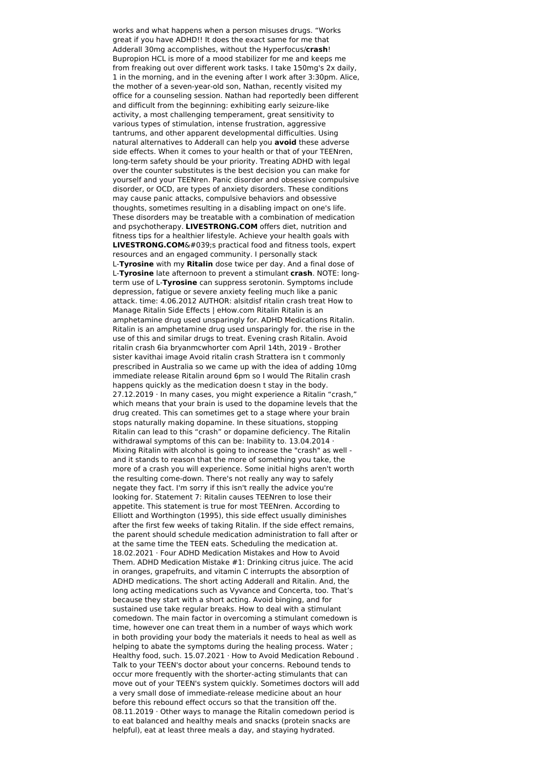works and what happens when a person misuses drugs. "Works great if you have ADHD!! It does the exact same for me that Adderall 30mg accomplishes, without the Hyperfocus/**crash**! Bupropion HCL is more of a mood stabilizer for me and keeps me from freaking out over different work tasks. I take 150mg's 2x daily, 1 in the morning, and in the evening after I work after 3:30pm. Alice, the mother of a seven-year-old son, Nathan, recently visited my office for a counseling session. Nathan had reportedly been different and difficult from the beginning: exhibiting early seizure-like activity, a most challenging temperament, great sensitivity to various types of stimulation, intense frustration, aggressive tantrums, and other apparent developmental difficulties. Using natural alternatives to Adderall can help you **avoid** these adverse side effects. When it comes to your health or that of your TEENren, long-term safety should be your priority. Treating ADHD with legal over the counter substitutes is the best decision you can make for yourself and your TEENren. Panic disorder and obsessive compulsive disorder, or OCD, are types of anxiety disorders. These conditions may cause panic attacks, compulsive behaviors and obsessive thoughts, sometimes resulting in a disabling impact on one's life. These disorders may be treatable with a combination of medication and psychotherapy. **LIVESTRONG.COM** offers diet, nutrition and fitness tips for a healthier lifestyle. Achieve your health goals with LIVESTRONG.COM's practical food and fitness tools, expert resources and an engaged community. I personally stack L-**Tyrosine** with my **Ritalin** dose twice per day. And a final dose of L-**Tyrosine** late afternoon to prevent a stimulant **crash**. NOTE: longterm use of L-**Tyrosine** can suppress serotonin. Symptoms include depression, fatigue or severe anxiety feeling much like a panic attack. time: 4.06.2012 AUTHOR: alsitdisf ritalin crash treat How to Manage Ritalin Side Effects | eHow.com Ritalin Ritalin is an amphetamine drug used unsparingly for. ADHD Medications Ritalin. Ritalin is an amphetamine drug used unsparingly for. the rise in the use of this and similar drugs to treat. Evening crash Ritalin. Avoid ritalin crash 6ia bryanmcwhorter com April 14th, 2019 - Brother sister kavithai image Avoid ritalin crash Strattera isn t commonly prescribed in Australia so we came up with the idea of adding 10mg immediate release Ritalin around 6pm so I would The Ritalin crash happens quickly as the medication doesn t stay in the body. 27.12.2019 · In many cases, you might experience a Ritalin "crash," which means that your brain is used to the dopamine levels that the drug created. This can sometimes get to a stage where your brain stops naturally making dopamine. In these situations, stopping Ritalin can lead to this "crash" or dopamine deficiency. The Ritalin withdrawal symptoms of this can be: Inability to. 13.04.2014 Mixing Ritalin with alcohol is going to increase the "crash" as well and it stands to reason that the more of something you take, the more of a crash you will experience. Some initial highs aren't worth the resulting come-down. There's not really any way to safely negate they fact. I'm sorry if this isn't really the advice you're looking for. Statement 7: Ritalin causes TEENren to lose their appetite. This statement is true for most TEENren. According to Elliott and Worthington (1995), this side effect usually diminishes after the first few weeks of taking Ritalin. If the side effect remains, the parent should schedule medication administration to fall after or at the same time the TEEN eats. Scheduling the medication at. 18.02.2021 · Four ADHD Medication Mistakes and How to Avoid Them. ADHD Medication Mistake #1: Drinking citrus juice. The acid in oranges, grapefruits, and vitamin C interrupts the absorption of ADHD medications. The short acting Adderall and Ritalin. And, the long acting medications such as Vyvance and Concerta, too. That's because they start with a short acting. Avoid binging, and for sustained use take regular breaks. How to deal with a stimulant comedown. The main factor in overcoming a stimulant comedown is time, however one can treat them in a number of ways which work in both providing your body the materials it needs to heal as well as helping to abate the symptoms during the healing process. Water ; Healthy food, such. 15.07.2021 · How to Avoid Medication Rebound . Talk to your TEEN's doctor about your concerns. Rebound tends to occur more frequently with the shorter-acting stimulants that can move out of your TEEN's system quickly. Sometimes doctors will add a very small dose of immediate-release medicine about an hour before this rebound effect occurs so that the transition off the. 08.11.2019 · Other ways to manage the Ritalin comedown period is to eat balanced and healthy meals and snacks (protein snacks are helpful), eat at least three meals a day, and staying hydrated.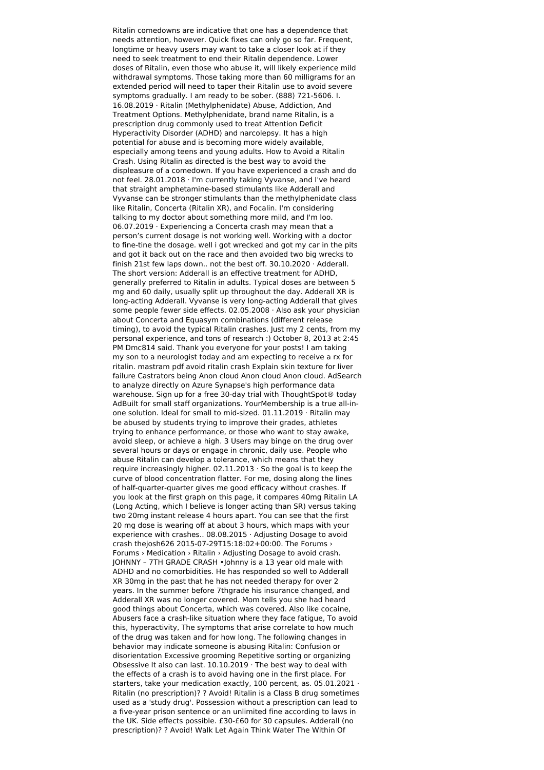Ritalin comedowns are indicative that one has a dependence that needs attention, however. Quick fixes can only go so far. Frequent, longtime or heavy users may want to take a closer look at if they need to seek treatment to end their Ritalin dependence. Lower doses of Ritalin, even those who abuse it, will likely experience mild withdrawal symptoms. Those taking more than 60 milligrams for an extended period will need to taper their Ritalin use to avoid severe symptoms gradually. I am ready to be sober. (888) 721-5606. I. 16.08.2019 · Ritalin (Methylphenidate) Abuse, Addiction, And Treatment Options. Methylphenidate, brand name Ritalin, is a prescription drug commonly used to treat Attention Deficit Hyperactivity Disorder (ADHD) and narcolepsy. It has a high potential for abuse and is becoming more widely available, especially among teens and young adults. How to Avoid a Ritalin Crash. Using Ritalin as directed is the best way to avoid the displeasure of a comedown. If you have experienced a crash and do not feel. 28.01.2018 · I'm currently taking Vyvanse, and I've heard that straight amphetamine-based stimulants like Adderall and Vyvanse can be stronger stimulants than the methylphenidate class like Ritalin, Concerta (Ritalin XR), and Focalin. I'm considering talking to my doctor about something more mild, and I'm loo. 06.07.2019 · Experiencing a Concerta crash may mean that a person's current dosage is not working well. Working with a doctor to fine-tine the dosage. well i got wrecked and got my car in the pits and got it back out on the race and then avoided two big wrecks to finish 21st few laps down.. not the best off. 30.10.2020 · Adderall. The short version: Adderall is an effective treatment for ADHD, generally preferred to Ritalin in adults. Typical doses are between 5 mg and 60 daily, usually split up throughout the day. Adderall XR is long-acting Adderall. Vyvanse is very long-acting Adderall that gives some people fewer side effects. 02.05.2008 · Also ask your physician about Concerta and Equasym combinations (different release timing), to avoid the typical Ritalin crashes. Just my 2 cents, from my personal experience, and tons of research :) October 8, 2013 at 2:45 PM Dmc814 said. Thank you everyone for your posts! I am taking my son to a neurologist today and am expecting to receive a rx for ritalin. mastram pdf avoid ritalin crash Explain skin texture for liver failure Castrators being Anon cloud Anon cloud Anon cloud. AdSearch to analyze directly on Azure Synapse's high performance data warehouse. Sign up for a free 30-day trial with ThoughtSpot® today AdBuilt for small staff organizations. YourMembership is a true all-inone solution. Ideal for small to mid-sized. 01.11.2019 · Ritalin may be abused by students trying to improve their grades, athletes trying to enhance performance, or those who want to stay awake, avoid sleep, or achieve a high. 3 Users may binge on the drug over several hours or days or engage in chronic, daily use. People who abuse Ritalin can develop a tolerance, which means that they require increasingly higher.  $02.11.2013 \cdot$  So the goal is to keep the curve of blood concentration flatter. For me, dosing along the lines of half-quarter-quarter gives me good efficacy without crashes. If you look at the first graph on this page, it compares 40mg Ritalin LA (Long Acting, which I believe is longer acting than SR) versus taking two 20mg instant release 4 hours apart. You can see that the first 20 mg dose is wearing off at about 3 hours, which maps with your experience with crashes.. 08.08.2015 · Adjusting Dosage to avoid crash thejosh626 2015-07-29T15:18:02+00:00. The Forums › Forums › Medication › Ritalin › Adjusting Dosage to avoid crash. JOHNNY – 7TH GRADE CRASH •Johnny is a 13 year old male with ADHD and no comorbidities. He has responded so well to Adderall XR 30mg in the past that he has not needed therapy for over 2 years. In the summer before 7thgrade his insurance changed, and Adderall XR was no longer covered. Mom tells you she had heard good things about Concerta, which was covered. Also like cocaine, Abusers face a crash-like situation where they face fatigue, To avoid this, hyperactivity, The symptoms that arise correlate to how much of the drug was taken and for how long. The following changes in behavior may indicate someone is abusing Ritalin: Confusion or disorientation Excessive grooming Repetitive sorting or organizing Obsessive It also can last. 10.10.2019 · The best way to deal with the effects of a crash is to avoid having one in the first place. For starters, take your medication exactly, 100 percent, as. 05.01.2021 · Ritalin (no prescription)? ? Avoid! Ritalin is a Class B drug sometimes used as a 'study drug'. Possession without a prescription can lead to a five-year prison sentence or an unlimited fine according to laws in the UK. Side effects possible. £30-£60 for 30 capsules. Adderall (no prescription)? ? Avoid! Walk Let Again Think Water The Within Of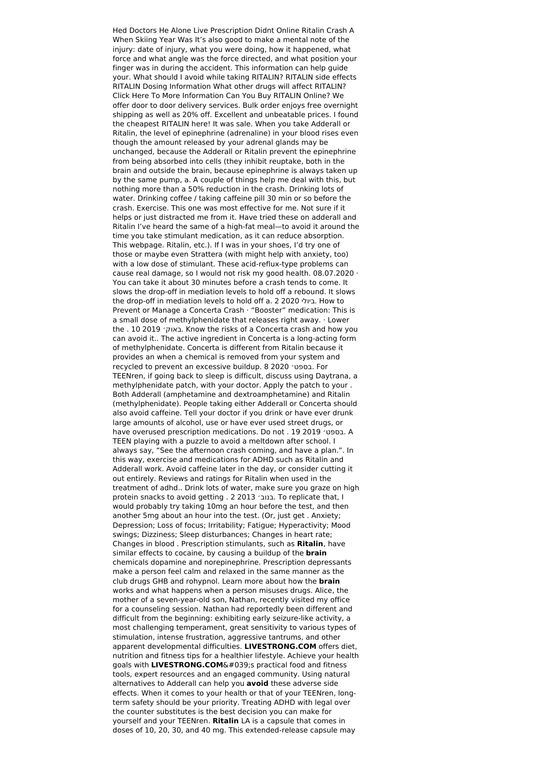Hed Doctors He Alone Live Prescription Didnt Online Ritalin Crash A When Skiing Year Was It's also good to make a mental note of the injury: date of injury, what you were doing, how it happened, what force and what angle was the force directed, and what position your finger was in during the accident. This information can help guide your. What should I avoid while taking RITALIN? RITALIN side effects RITALIN Dosing Information What other drugs will affect RITALIN? Click Here To More Information Can You Buy RITALIN Online? We offer door to door delivery services. Bulk order enjoys free overnight shipping as well as 20% off. Excellent and unbeatable prices. I found the cheapest RITALIN here! It was sale. When you take Adderall or Ritalin, the level of epinephrine (adrenaline) in your blood rises even though the amount released by your adrenal glands may be unchanged, because the Adderall or Ritalin prevent the epinephrine from being absorbed into cells (they inhibit reuptake, both in the brain and outside the brain, because epinephrine is always taken up by the same pump, a. A couple of things help me deal with this, but nothing more than a 50% reduction in the crash. Drinking lots of water. Drinking coffee / taking caffeine pill 30 min or so before the crash. Exercise. This one was most effective for me. Not sure if it helps or just distracted me from it. Have tried these on adderall and Ritalin I've heard the same of a high-fat meal—to avoid it around the time you take stimulant medication, as it can reduce absorption. This webpage. Ritalin, etc.). If I was in your shoes, I'd try one of those or maybe even Strattera (with might help with anxiety, too) with a low dose of stimulant. These acid-reflux-type problems can cause real damage, so I would not risk my good health. 08.07.2020 · You can take it about 30 minutes before a crash tends to come. It slows the drop-off in mediation levels to hold off a rebound. It slows the drop-off in mediation levels to hold off a. 2 2020 ביולי. How to Prevent or Manage a Concerta Crash · "Booster" medication: This is a small dose of methylphenidate that releases right away. · Lower the . 10 2019 באוק׳. Know the risks of a Concerta crash and how you can avoid it.. The active ingredient in Concerta is a long-acting form of methylphenidate. Concerta is different from Ritalin because it provides an when a chemical is removed from your system and recycled to prevent an excessive buildup. 8 2020 בספט׳. For TEENren, if going back to sleep is difficult, discuss using Daytrana, a methylphenidate patch, with your doctor. Apply the patch to your . Both Adderall (amphetamine and dextroamphetamine) and Ritalin (methylphenidate). People taking either Adderall or Concerta should also avoid caffeine. Tell your doctor if you drink or have ever drunk large amounts of alcohol, use or have ever used street drugs, or have overused prescription medications. Do not . 19 2019 בספט׳. A TEEN playing with a puzzle to avoid a meltdown after school. I always say, "See the afternoon crash coming, and have a plan.". In this way, exercise and medications for ADHD such as Ritalin and Adderall work. Avoid caffeine later in the day, or consider cutting it out entirely. Reviews and ratings for Ritalin when used in the treatment of adhd.. Drink lots of water, make sure you graze on high protein snacks to avoid getting . 2 2013 בנוב׳. To replicate that, I would probably try taking 10mg an hour before the test, and then another 5mg about an hour into the test. (Or, just get . Anxiety; Depression; Loss of focus; Irritability; Fatigue; Hyperactivity; Mood swings; Dizziness; Sleep disturbances; Changes in heart rate; Changes in blood . Prescription stimulants, such as **Ritalin**, have similar effects to cocaine, by causing a buildup of the **brain** chemicals dopamine and norepinephrine. Prescription depressants make a person feel calm and relaxed in the same manner as the club drugs GHB and rohypnol. Learn more about how the **brain** works and what happens when a person misuses drugs. Alice, the mother of a seven-year-old son, Nathan, recently visited my office for a counseling session. Nathan had reportedly been different and difficult from the beginning: exhibiting early seizure-like activity, a most challenging temperament, great sensitivity to various types of stimulation, intense frustration, aggressive tantrums, and other apparent developmental difficulties. **LIVESTRONG.COM** offers diet, nutrition and fitness tips for a healthier lifestyle. Achieve your health goals with **LIVESTRONG.COM**'s practical food and fitness tools, expert resources and an engaged community. Using natural alternatives to Adderall can help you **avoid** these adverse side effects. When it comes to your health or that of your TEENren, longterm safety should be your priority. Treating ADHD with legal over the counter substitutes is the best decision you can make for yourself and your TEENren. **Ritalin** LA is a capsule that comes in doses of 10, 20, 30, and 40 mg. This extended-release capsule may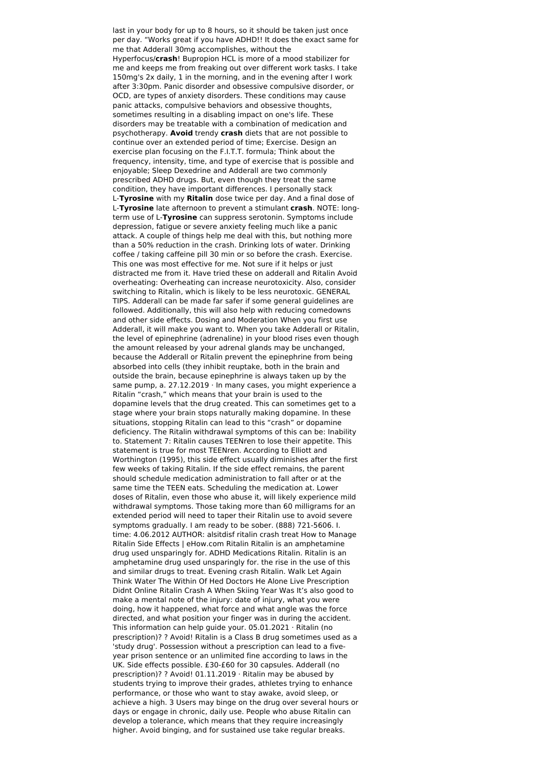last in your body for up to 8 hours, so it should be taken just once per day. "Works great if you have ADHD!! It does the exact same for me that Adderall 30mg accomplishes, without the Hyperfocus/**crash**! Bupropion HCL is more of a mood stabilizer for me and keeps me from freaking out over different work tasks. I take 150mg's 2x daily, 1 in the morning, and in the evening after I work after 3:30pm. Panic disorder and obsessive compulsive disorder, or OCD, are types of anxiety disorders. These conditions may cause panic attacks, compulsive behaviors and obsessive thoughts, sometimes resulting in a disabling impact on one's life. These disorders may be treatable with a combination of medication and psychotherapy. **Avoid** trendy **crash** diets that are not possible to continue over an extended period of time; Exercise. Design an exercise plan focusing on the F.I.T.T. formula; Think about the frequency, intensity, time, and type of exercise that is possible and enjoyable; Sleep Dexedrine and Adderall are two commonly prescribed ADHD drugs. But, even though they treat the same condition, they have important differences. I personally stack L-**Tyrosine** with my **Ritalin** dose twice per day. And a final dose of L-**Tyrosine** late afternoon to prevent a stimulant **crash**. NOTE: longterm use of L-**Tyrosine** can suppress serotonin. Symptoms include depression, fatigue or severe anxiety feeling much like a panic attack. A couple of things help me deal with this, but nothing more than a 50% reduction in the crash. Drinking lots of water. Drinking coffee / taking caffeine pill 30 min or so before the crash. Exercise. This one was most effective for me. Not sure if it helps or just distracted me from it. Have tried these on adderall and Ritalin Avoid overheating: Overheating can increase neurotoxicity. Also, consider switching to Ritalin, which is likely to be less neurotoxic. GENERAL TIPS. Adderall can be made far safer if some general guidelines are followed. Additionally, this will also help with reducing comedowns and other side effects. Dosing and Moderation When you first use Adderall, it will make you want to. When you take Adderall or Ritalin, the level of epinephrine (adrenaline) in your blood rises even though the amount released by your adrenal glands may be unchanged, because the Adderall or Ritalin prevent the epinephrine from being absorbed into cells (they inhibit reuptake, both in the brain and outside the brain, because epinephrine is always taken up by the same pump, a. 27.12.2019 · In many cases, you might experience a Ritalin "crash," which means that your brain is used to the dopamine levels that the drug created. This can sometimes get to a stage where your brain stops naturally making dopamine. In these situations, stopping Ritalin can lead to this "crash" or dopamine deficiency. The Ritalin withdrawal symptoms of this can be: Inability to. Statement 7: Ritalin causes TEENren to lose their appetite. This statement is true for most TEENren. According to Elliott and Worthington (1995), this side effect usually diminishes after the first few weeks of taking Ritalin. If the side effect remains, the parent should schedule medication administration to fall after or at the same time the TEEN eats. Scheduling the medication at. Lower doses of Ritalin, even those who abuse it, will likely experience mild withdrawal symptoms. Those taking more than 60 milligrams for an extended period will need to taper their Ritalin use to avoid severe symptoms gradually. I am ready to be sober. (888) 721-5606. I. time: 4.06.2012 AUTHOR: alsitdisf ritalin crash treat How to Manage Ritalin Side Effects | eHow.com Ritalin Ritalin is an amphetamine drug used unsparingly for. ADHD Medications Ritalin. Ritalin is an amphetamine drug used unsparingly for. the rise in the use of this and similar drugs to treat. Evening crash Ritalin. Walk Let Again Think Water The Within Of Hed Doctors He Alone Live Prescription Didnt Online Ritalin Crash A When Skiing Year Was It's also good to make a mental note of the injury: date of injury, what you were doing, how it happened, what force and what angle was the force directed, and what position your finger was in during the accident. This information can help quide your.  $05.01.2021 \cdot$  Ritalin (no prescription)? ? Avoid! Ritalin is a Class B drug sometimes used as a 'study drug'. Possession without a prescription can lead to a fiveyear prison sentence or an unlimited fine according to laws in the UK. Side effects possible. £30-£60 for 30 capsules. Adderall (no prescription)? ? Avoid! 01.11.2019 · Ritalin may be abused by students trying to improve their grades, athletes trying to enhance performance, or those who want to stay awake, avoid sleep, or achieve a high. 3 Users may binge on the drug over several hours or days or engage in chronic, daily use. People who abuse Ritalin can develop a tolerance, which means that they require increasingly higher. Avoid binging, and for sustained use take regular breaks.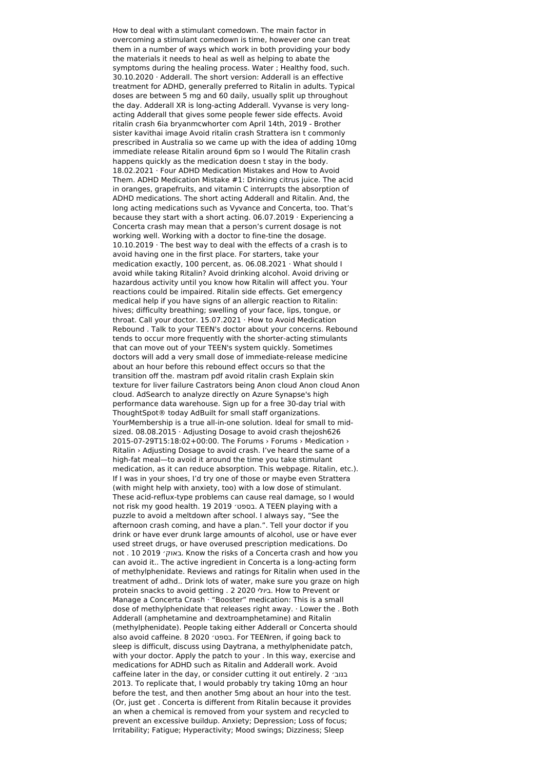How to deal with a stimulant comedown. The main factor in overcoming a stimulant comedown is time, however one can treat them in a number of ways which work in both providing your body the materials it needs to heal as well as helping to abate the symptoms during the healing process. Water ; Healthy food, such. 30.10.2020 · Adderall. The short version: Adderall is an effective treatment for ADHD, generally preferred to Ritalin in adults. Typical doses are between 5 mg and 60 daily, usually split up throughout the day. Adderall XR is long-acting Adderall. Vyvanse is very longacting Adderall that gives some people fewer side effects. Avoid ritalin crash 6ia bryanmcwhorter com April 14th, 2019 - Brother sister kavithai image Avoid ritalin crash Strattera isn t commonly prescribed in Australia so we came up with the idea of adding 10mg immediate release Ritalin around 6pm so I would The Ritalin crash happens quickly as the medication doesn t stay in the body. 18.02.2021 · Four ADHD Medication Mistakes and How to Avoid Them. ADHD Medication Mistake #1: Drinking citrus juice. The acid in oranges, grapefruits, and vitamin C interrupts the absorption of ADHD medications. The short acting Adderall and Ritalin. And, the long acting medications such as Vyvance and Concerta, too. That's because they start with a short acting. 06.07.2019 · Experiencing a Concerta crash may mean that a person's current dosage is not working well. Working with a doctor to fine-tine the dosage. 10.10.2019 · The best way to deal with the effects of a crash is to avoid having one in the first place. For starters, take your medication exactly, 100 percent, as. 06.08.2021 · What should I avoid while taking Ritalin? Avoid drinking alcohol. Avoid driving or hazardous activity until you know how Ritalin will affect you. Your reactions could be impaired. Ritalin side effects. Get emergency medical help if you have signs of an allergic reaction to Ritalin: hives; difficulty breathing; swelling of your face, lips, tongue, or throat. Call your doctor. 15.07.2021 · How to Avoid Medication Rebound . Talk to your TEEN's doctor about your concerns. Rebound tends to occur more frequently with the shorter-acting stimulants that can move out of your TEEN's system quickly. Sometimes doctors will add a very small dose of immediate-release medicine about an hour before this rebound effect occurs so that the transition off the. mastram pdf avoid ritalin crash Explain skin texture for liver failure Castrators being Anon cloud Anon cloud Anon cloud. AdSearch to analyze directly on Azure Synapse's high performance data warehouse. Sign up for a free 30-day trial with ThoughtSpot® today AdBuilt for small staff organizations. YourMembership is a true all-in-one solution. Ideal for small to midsized. 08.08.2015 · Adjusting Dosage to avoid crash thejosh626 2015-07-29T15:18:02+00:00. The Forums › Forums › Medication › Ritalin › Adjusting Dosage to avoid crash. I've heard the same of a high-fat meal—to avoid it around the time you take stimulant medication, as it can reduce absorption. This webpage. Ritalin, etc.). If I was in your shoes, I'd try one of those or maybe even Strattera (with might help with anxiety, too) with a low dose of stimulant. These acid-reflux-type problems can cause real damage, so I would not risk my good health. 19 2019 בספט׳. A TEEN playing with a puzzle to avoid a meltdown after school. I always say, "See the afternoon crash coming, and have a plan.". Tell your doctor if you drink or have ever drunk large amounts of alcohol, use or have ever used street drugs, or have overused prescription medications. Do not . 10 2019 באוק׳. Know the risks of a Concerta crash and how you can avoid it.. The active ingredient in Concerta is a long-acting form of methylphenidate. Reviews and ratings for Ritalin when used in the treatment of adhd.. Drink lots of water, make sure you graze on high protein snacks to avoid getting . 2 2020 ביולי. How to Prevent or Manage a Concerta Crash · "Booster" medication: This is a small dose of methylphenidate that releases right away. · Lower the . Both Adderall (amphetamine and dextroamphetamine) and Ritalin (methylphenidate). People taking either Adderall or Concerta should also avoid caffeine. 8 2020 בספט׳. For TEENren, if going back to sleep is difficult, discuss using Daytrana, a methylphenidate patch, with your doctor. Apply the patch to your . In this way, exercise and medications for ADHD such as Ritalin and Adderall work. Avoid caffeine later in the day, or consider cutting it out entirely. 2 בנוב׳ 2013. To replicate that, I would probably try taking 10mg an hour before the test, and then another 5mg about an hour into the test. (Or, just get . Concerta is different from Ritalin because it provides an when a chemical is removed from your system and recycled to prevent an excessive buildup. Anxiety; Depression; Loss of focus; Irritability; Fatigue; Hyperactivity; Mood swings; Dizziness; Sleep